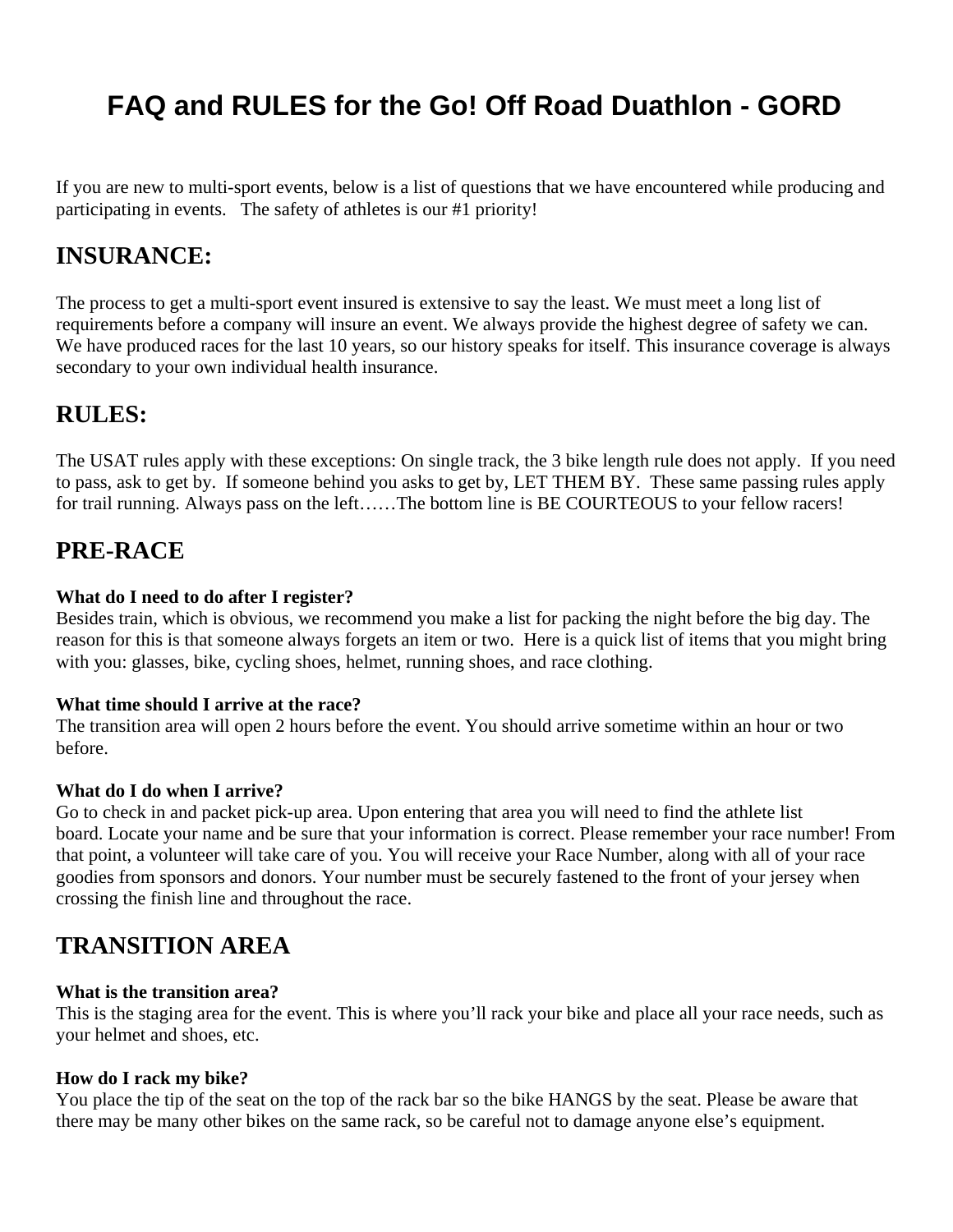# **FAQ and RULES for the Go! Off Road Duathlon - GORD**

If you are new to multi-sport events, below is a list of questions that we have encountered while producing and participating in events. The safety of athletes is our #1 priority!

# **INSURANCE:**

The process to get a multi-sport event insured is extensive to say the least. We must meet a long list of requirements before a company will insure an event. We always provide the highest degree of safety we can. We have produced races for the last 10 years, so our history speaks for itself. This insurance coverage is always secondary to your own individual health insurance.

# **RULES:**

The USAT rules apply with these exceptions: On single track, the 3 bike length rule does not apply. If you need to pass, ask to get by. If someone behind you asks to get by, LET THEM BY. These same passing rules apply for trail running. Always pass on the left……The bottom line is BE COURTEOUS to your fellow racers!

# **PRE-RACE**

### **What do I need to do after I register?**

Besides train, which is obvious, we recommend you make a list for packing the night before the big day. The reason for this is that someone always forgets an item or two. Here is a quick list of items that you might bring with you: glasses, bike, cycling shoes, helmet, running shoes, and race clothing.

### **What time should I arrive at the race?**

The transition area will open 2 hours before the event. You should arrive sometime within an hour or two before.

# **What do I do when I arrive?**

Go to check in and packet pick-up area. Upon entering that area you will need to find the athlete list board. Locate your name and be sure that your information is correct. Please remember your race number! From that point, a volunteer will take care of you. You will receive your Race Number, along with all of your race goodies from sponsors and donors. Your number must be securely fastened to the front of your jersey when crossing the finish line and throughout the race.

# **TRANSITION AREA**

### **What is the transition area?**

This is the staging area for the event. This is where you'll rack your bike and place all your race needs, such as your helmet and shoes, etc.

# **How do I rack my bike?**

You place the tip of the seat on the top of the rack bar so the bike HANGS by the seat. Please be aware that there may be many other bikes on the same rack, so be careful not to damage anyone else's equipment.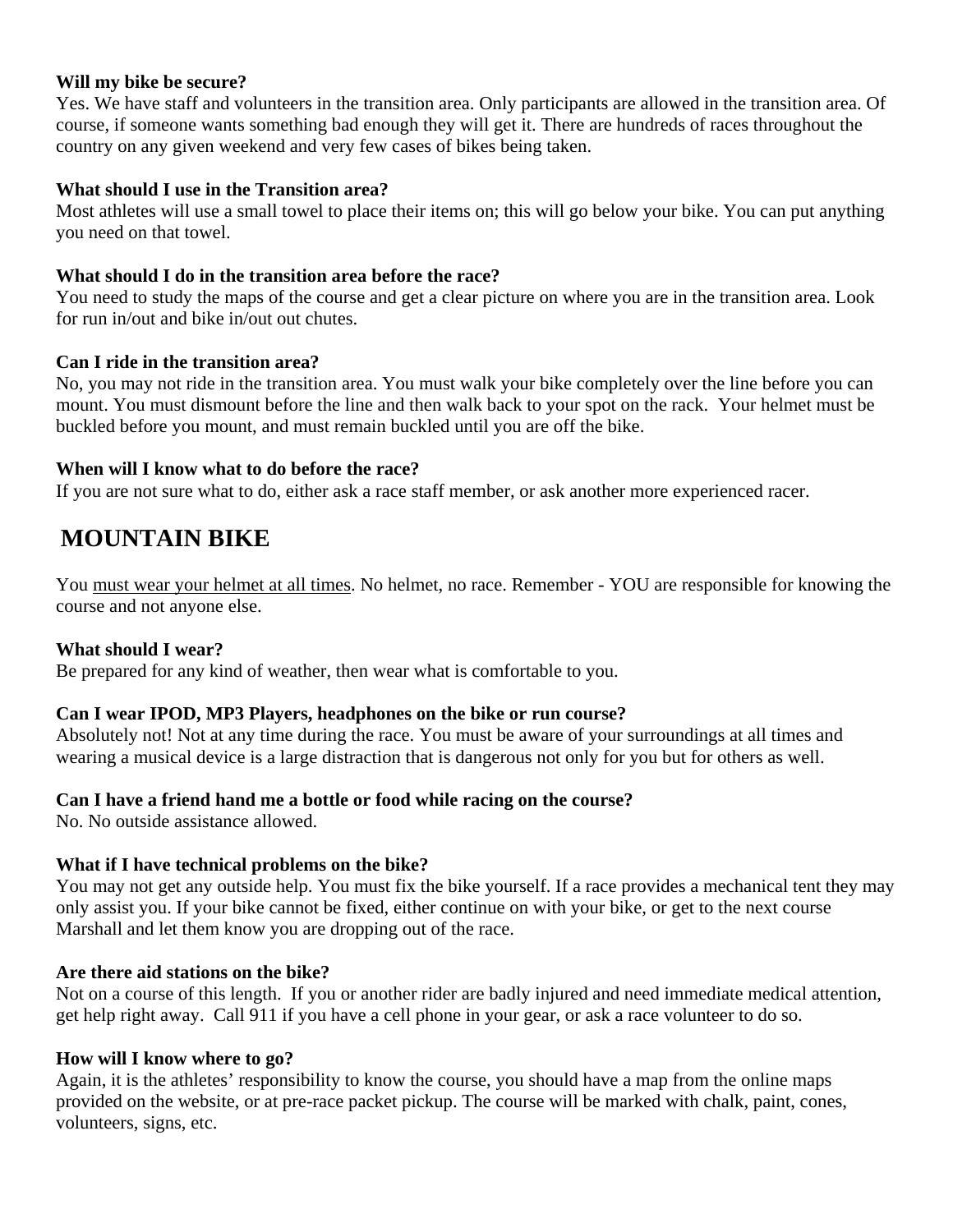### **Will my bike be secure?**

Yes. We have staff and volunteers in the transition area. Only participants are allowed in the transition area. Of course, if someone wants something bad enough they will get it. There are hundreds of races throughout the country on any given weekend and very few cases of bikes being taken.

### **What should I use in the Transition area?**

Most athletes will use a small towel to place their items on; this will go below your bike. You can put anything you need on that towel.

### **What should I do in the transition area before the race?**

You need to study the maps of the course and get a clear picture on where you are in the transition area. Look for run in/out and bike in/out out chutes.

### **Can I ride in the transition area?**

No, you may not ride in the transition area. You must walk your bike completely over the line before you can mount. You must dismount before the line and then walk back to your spot on the rack. Your helmet must be buckled before you mount, and must remain buckled until you are off the bike.

### **When will I know what to do before the race?**

If you are not sure what to do, either ask a race staff member, or ask another more experienced racer.

# **MOUNTAIN BIKE**

You must wear your helmet at all times. No helmet, no race. Remember - YOU are responsible for knowing the course and not anyone else.

### **What should I wear?**

Be prepared for any kind of weather, then wear what is comfortable to you.

### **Can I wear IPOD, MP3 Players, headphones on the bike or run course?**

Absolutely not! Not at any time during the race. You must be aware of your surroundings at all times and wearing a musical device is a large distraction that is dangerous not only for you but for others as well.

### **Can I have a friend hand me a bottle or food while racing on the course?**

No. No outside assistance allowed.

### **What if I have technical problems on the bike?**

You may not get any outside help. You must fix the bike yourself. If a race provides a mechanical tent they may only assist you. If your bike cannot be fixed, either continue on with your bike, or get to the next course Marshall and let them know you are dropping out of the race.

### **Are there aid stations on the bike?**

Not on a course of this length. If you or another rider are badly injured and need immediate medical attention, get help right away. Call 911 if you have a cell phone in your gear, or ask a race volunteer to do so.

### **How will I know where to go?**

Again, it is the athletes' responsibility to know the course, you should have a map from the online maps provided on the website, or at pre-race packet pickup. The course will be marked with chalk, paint, cones, volunteers, signs, etc.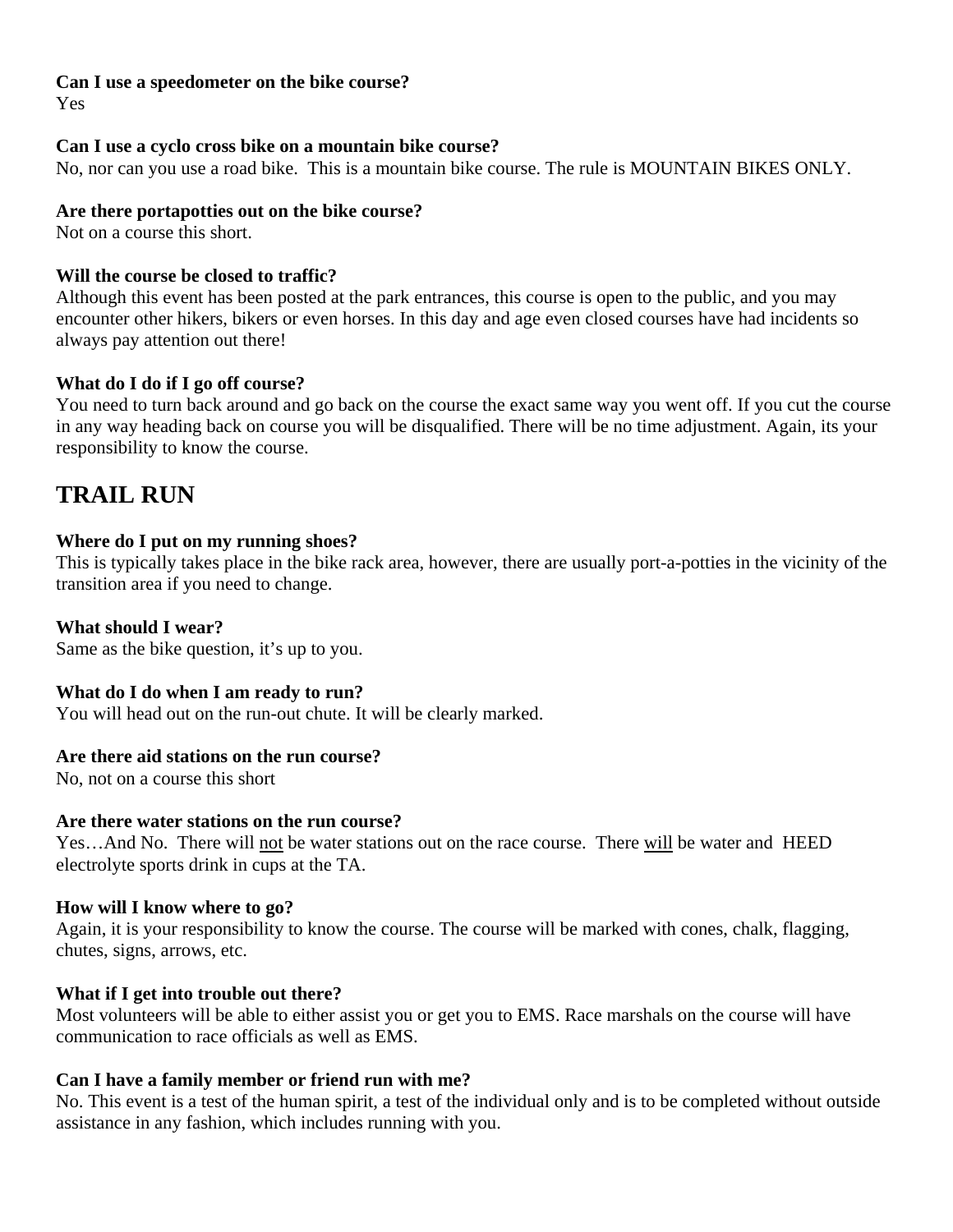# **Can I use a speedometer on the bike course?**

Yes

# **Can I use a cyclo cross bike on a mountain bike course?**

No, nor can you use a road bike. This is a mountain bike course. The rule is MOUNTAIN BIKES ONLY.

### **Are there portapotties out on the bike course?**

Not on a course this short.

### **Will the course be closed to traffic?**

Although this event has been posted at the park entrances, this course is open to the public, and you may encounter other hikers, bikers or even horses. In this day and age even closed courses have had incidents so always pay attention out there!

# **What do I do if I go off course?**

You need to turn back around and go back on the course the exact same way you went off. If you cut the course in any way heading back on course you will be disqualified. There will be no time adjustment. Again, its your responsibility to know the course.

# **TRAIL RUN**

### **Where do I put on my running shoes?**

This is typically takes place in the bike rack area, however, there are usually port-a-potties in the vicinity of the transition area if you need to change.

# **What should I wear?**

Same as the bike question, it's up to you.

### **What do I do when I am ready to run?**

You will head out on the run-out chute. It will be clearly marked.

### **Are there aid stations on the run course?**

No, not on a course this short

### **Are there water stations on the run course?**

Yes...And No. There will not be water stations out on the race course. There will be water and HEED electrolyte sports drink in cups at the TA.

### **How will I know where to go?**

Again, it is your responsibility to know the course. The course will be marked with cones, chalk, flagging, chutes, signs, arrows, etc.

# **What if I get into trouble out there?**

Most volunteers will be able to either assist you or get you to EMS. Race marshals on the course will have communication to race officials as well as EMS.

# **Can I have a family member or friend run with me?**

No. This event is a test of the human spirit, a test of the individual only and is to be completed without outside assistance in any fashion, which includes running with you.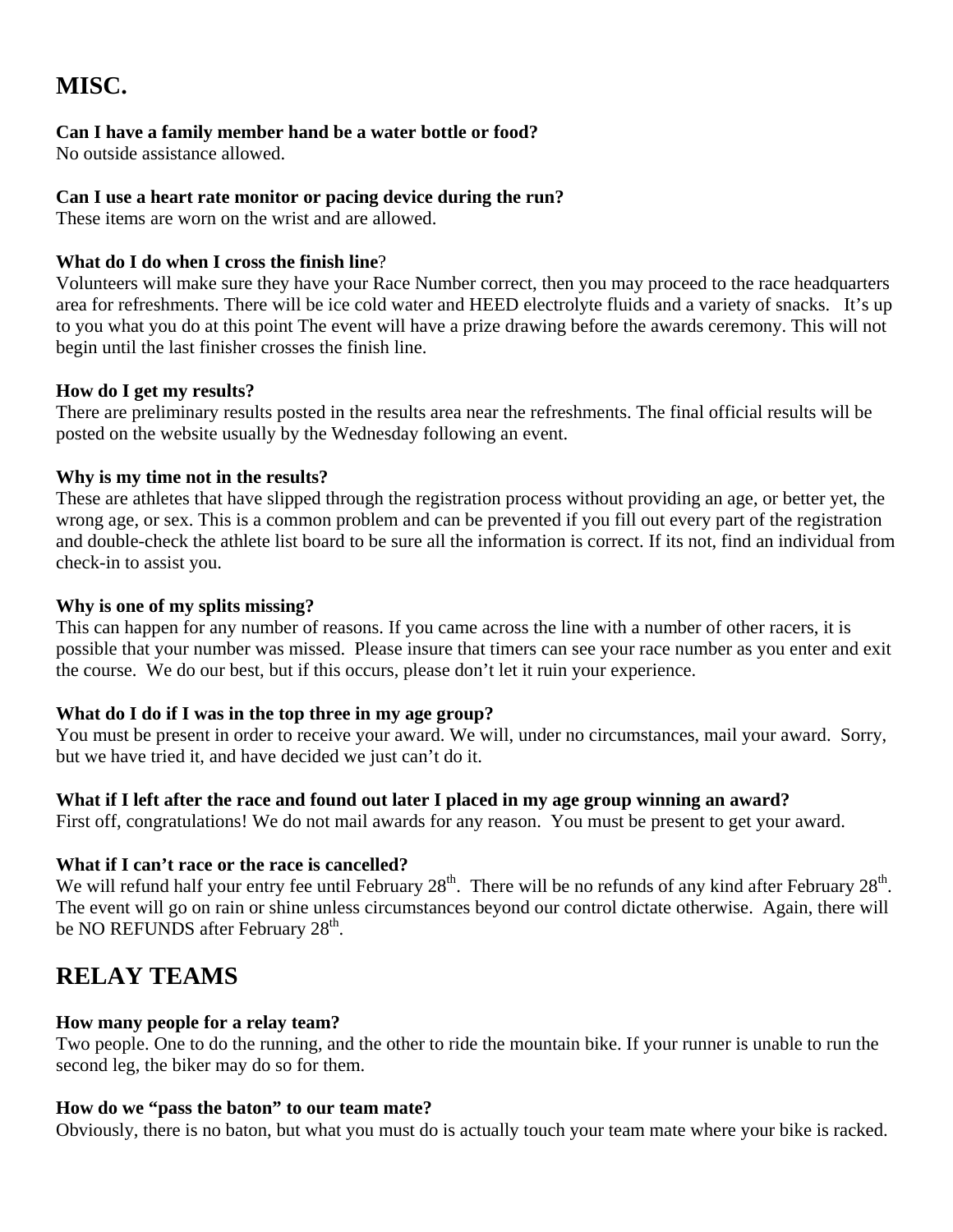# **MISC.**

# **Can I have a family member hand be a water bottle or food?**

No outside assistance allowed.

# **Can I use a heart rate monitor or pacing device during the run?**

These items are worn on the wrist and are allowed.

# **What do I do when I cross the finish line**?

Volunteers will make sure they have your Race Number correct, then you may proceed to the race headquarters area for refreshments. There will be ice cold water and HEED electrolyte fluids and a variety of snacks. It's up to you what you do at this point The event will have a prize drawing before the awards ceremony. This will not begin until the last finisher crosses the finish line.

# **How do I get my results?**

There are preliminary results posted in the results area near the refreshments. The final official results will be posted on the website usually by the Wednesday following an event.

# **Why is my time not in the results?**

These are athletes that have slipped through the registration process without providing an age, or better yet, the wrong age, or sex. This is a common problem and can be prevented if you fill out every part of the registration and double-check the athlete list board to be sure all the information is correct. If its not, find an individual from check-in to assist you.

# **Why is one of my splits missing?**

This can happen for any number of reasons. If you came across the line with a number of other racers, it is possible that your number was missed. Please insure that timers can see your race number as you enter and exit the course. We do our best, but if this occurs, please don't let it ruin your experience.

# **What do I do if I was in the top three in my age group?**

You must be present in order to receive your award. We will, under no circumstances, mail your award. Sorry, but we have tried it, and have decided we just can't do it.

# **What if I left after the race and found out later I placed in my age group winning an award?**

First off, congratulations! We do not mail awards for any reason. You must be present to get your award.

# **What if I can't race or the race is cancelled?**

We will refund half your entry fee until February  $28<sup>th</sup>$ . There will be no refunds of any kind after February  $28<sup>th</sup>$ . The event will go on rain or shine unless circumstances beyond our control dictate otherwise. Again, there will be NO REFUNDS after February 28<sup>th</sup>.

# **RELAY TEAMS**

# **How many people for a relay team?**

Two people. One to do the running, and the other to ride the mountain bike. If your runner is unable to run the second leg, the biker may do so for them.

# **How do we "pass the baton" to our team mate?**

Obviously, there is no baton, but what you must do is actually touch your team mate where your bike is racked.